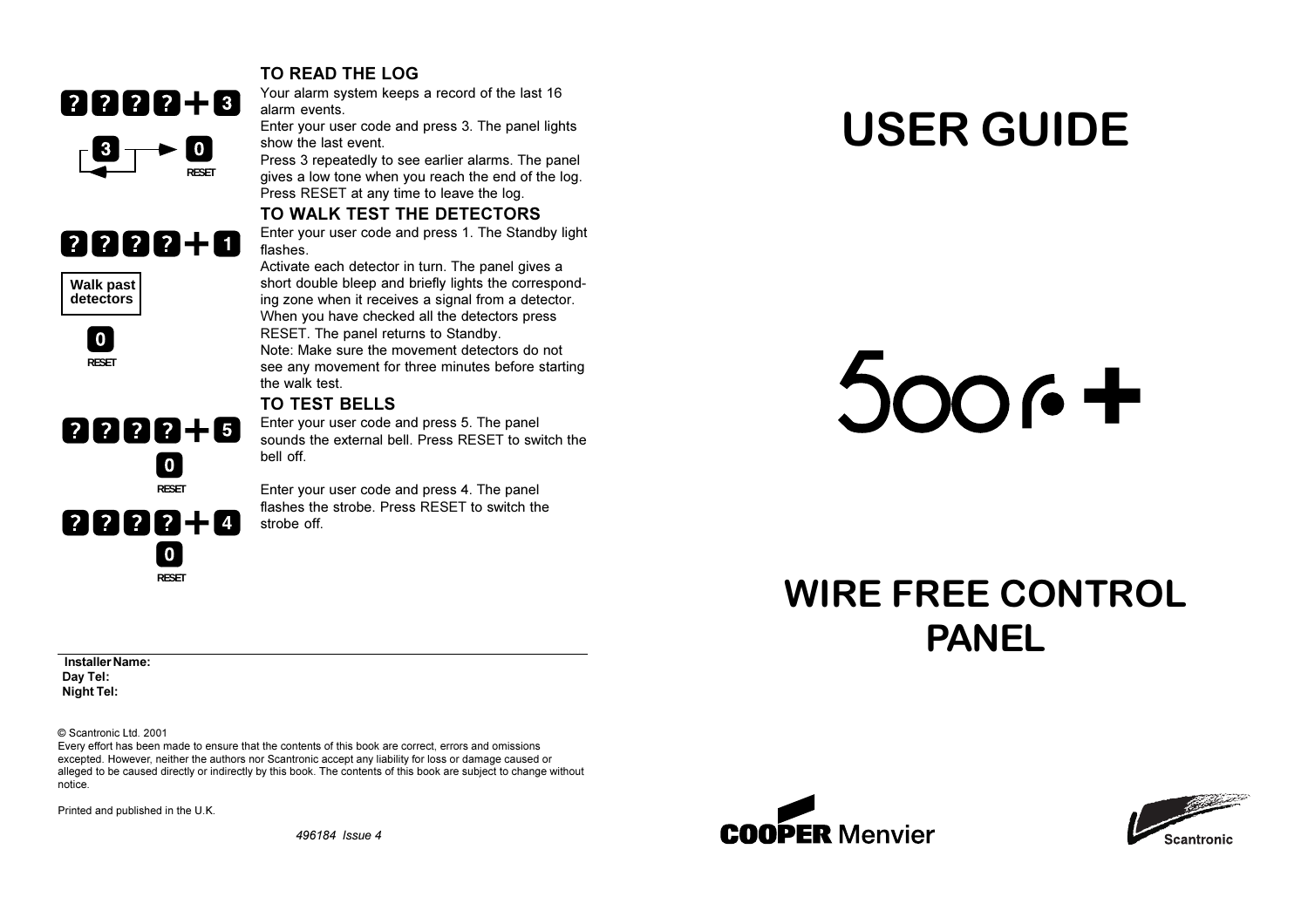

#### TO READ THE LOG

Your alarm system keeps a record of the last 16 alarm events.

Enter your user code and press 3. The panel lights show the last event.

Press 3 repeatedly to see earlier alarms. The panel gives a low tone when you reach the end of the log. Press RESET at any time to leave the log.

TO WALK TEST THE DETECTORS

### 8888+0

**Walk past** detectors

> 0 I **RESET**

#### 0000+0  $\blacksquare$ **RESET** 2222+0  $\overline{10}$ **RESET**

Enter your user code and press 1. The Standby light flashes. Activate each detector in turn. The panel gives a

short double bleep and briefly lights the corresponding zone when it receives a signal from a detector. When you have checked all the detectors press RESET. The panel returns to Standby. Note: Make sure the movement detectors do not see any movement for three minutes before starting the walk test.

#### TO TEST BELLS

Enter your user code and press 5. The panel sounds the external hell. Press RESET to switch the hell off

Enter your user code and press 4. The panel flashes the strobe. Press RESET to switch the strobe off

# **USER GUIDE**

# $5006 +$

## **WIRE FREE CONTROL PANEL**

Installer Name: Dav Tel: **Night Tel:** 

© Scantronic Ltd. 2001

Every effort has been made to ensure that the contents of this book are correct, errors and omissions excepted. However, neither the authors nor Scantronic accept any liability for loss or damage caused or alleged to be caused directly or indirectly by this book. The contents of this book are subject to change without notice.

Printed and published in the U.K.

496184 Issue 4